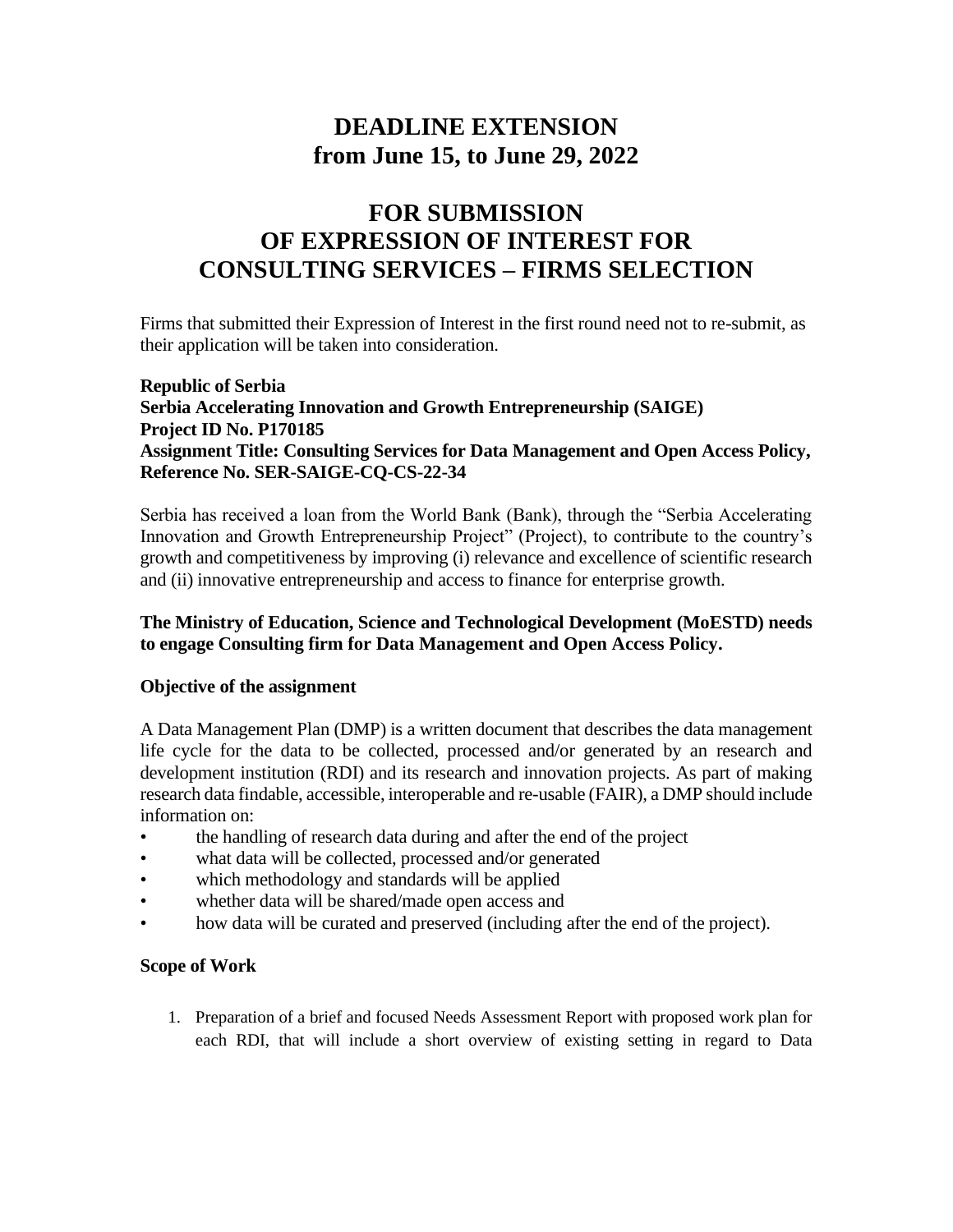# **DEADLINE EXTENSION from June 15, to June 29, 2022**

# **FOR SUBMISSION OF EXPRESSION OF INTEREST FOR CONSULTING SERVICES – FIRMS SELECTION**

Firms that submitted their Expression of Interest in the first round need not to re-submit, as their application will be taken into consideration.

# **Republic of Serbia Serbia Accelerating Innovation and Growth Entrepreneurship (SAIGE) Project ID No. P170185 Assignment Title: Consulting Services for Data Management and Open Access Policy, Reference No. SER-SAIGE-CQ-CS-22-34**

Serbia has received a loan from the World Bank (Bank), through the "Serbia Accelerating Innovation and Growth Entrepreneurship Project" (Project), to contribute to the country's growth and competitiveness by improving (i) relevance and excellence of scientific research and (ii) innovative entrepreneurship and access to finance for enterprise growth.

# **The Ministry of Education, Science and Technological Development (MoESTD) needs to engage Consulting firm for Data Management and Open Access Policy.**

### **Objective of the assignment**

A Data Management Plan (DMP) is a written document that describes the data management life cycle for the data to be collected, processed and/or generated by an research and development institution (RDI) and its research and innovation projects. As part of making research data findable, accessible, interoperable and re-usable (FAIR), a DMP should include information on:

- the handling of research data during and after the end of the project
- what data will be collected, processed and/or generated
- which methodology and standards will be applied
- whether data will be shared/made open access and
- how data will be curated and preserved (including after the end of the project).

### **Scope of Work**

1. Preparation of a brief and focused Needs Assessment Report with proposed work plan for each RDI, that will include a short overview of existing setting in regard to Data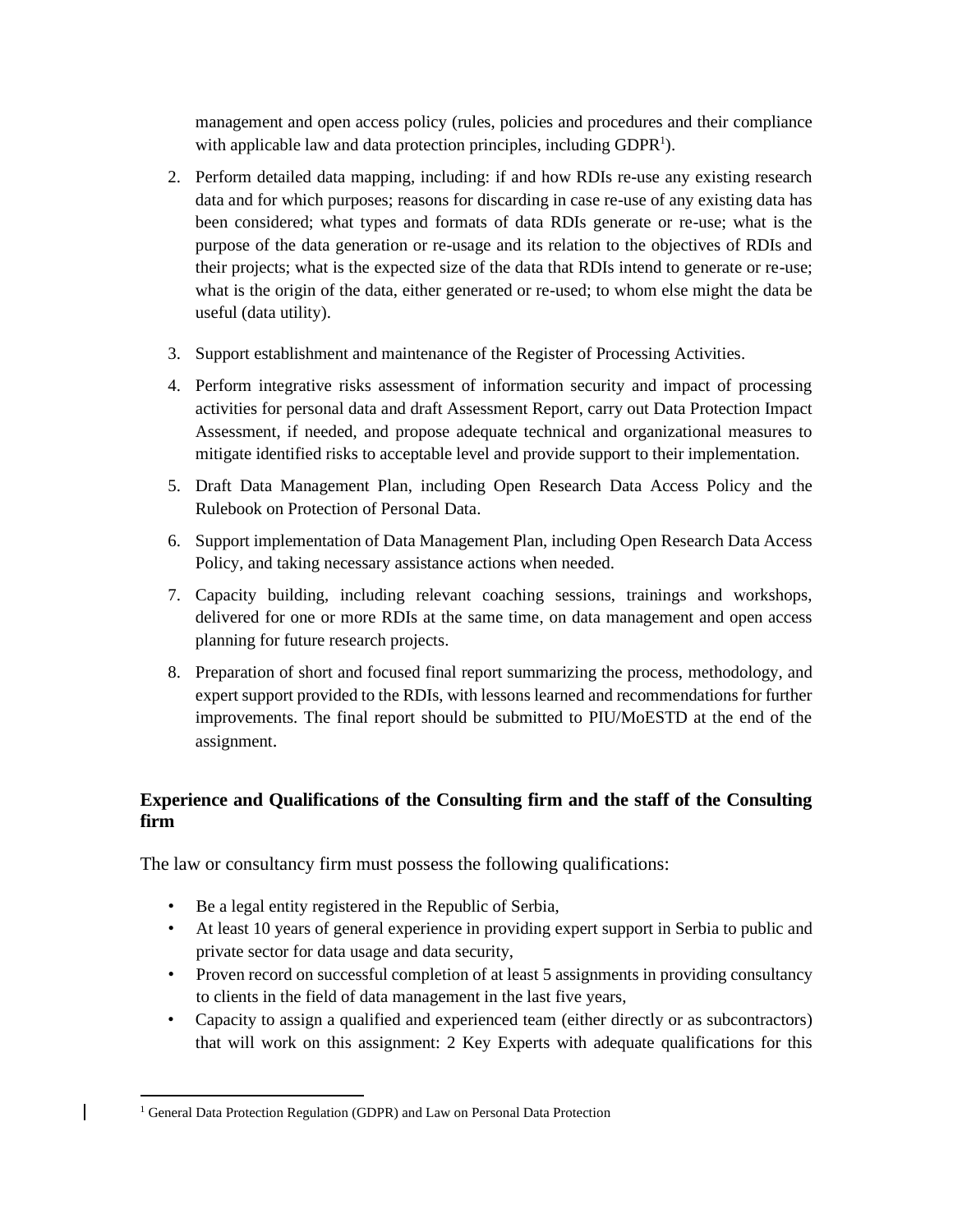management and open access policy (rules, policies and procedures and their compliance with applicable law and data protection principles, including GDPR<sup>1</sup>).

- 2. Perform detailed data mapping, including: if and how RDIs re-use any existing research data and for which purposes; reasons for discarding in case re-use of any existing data has been considered; what types and formats of data RDIs generate or re-use; what is the purpose of the data generation or re-usage and its relation to the objectives of RDIs and their projects; what is the expected size of the data that RDIs intend to generate or re-use; what is the origin of the data, either generated or re-used; to whom else might the data be useful (data utility).
- 3. Support establishment and maintenance of the Register of Processing Activities.
- 4. Perform integrative risks assessment of information security and impact of processing activities for personal data and draft Assessment Report, carry out Data Protection Impact Assessment, if needed, and propose adequate technical and organizational measures to mitigate identified risks to acceptable level and provide support to their implementation.
- 5. Draft Data Management Plan, including Open Research Data Access Policy and the Rulebook on Protection of Personal Data.
- 6. Support implementation of Data Management Plan, including Open Research Data Access Policy, and taking necessary assistance actions when needed.
- 7. Capacity building, including relevant coaching sessions, trainings and workshops, delivered for one or more RDIs at the same time, on data management and open access planning for future research projects.
- 8. Preparation of short and focused final report summarizing the process, methodology, and expert support provided to the RDIs, with lessons learned and recommendations for further improvements. The final report should be submitted to PIU/MoESTD at the end of the assignment.

# **Experience and Qualifications of the Consulting firm and the staff of the Consulting firm**

The law or consultancy firm must possess the following qualifications:

- Be a legal entity registered in the Republic of Serbia,
- At least 10 years of general experience in providing expert support in Serbia to public and private sector for data usage and data security,
- Proven record on successful completion of at least 5 assignments in providing consultancy to clients in the field of data management in the last five years,
- Capacity to assign a qualified and experienced team (either directly or as subcontractors) that will work on this assignment: 2 Key Experts with adequate qualifications for this

<sup>&</sup>lt;sup>1</sup> General Data Protection Regulation (GDPR) and Law on Personal Data Protection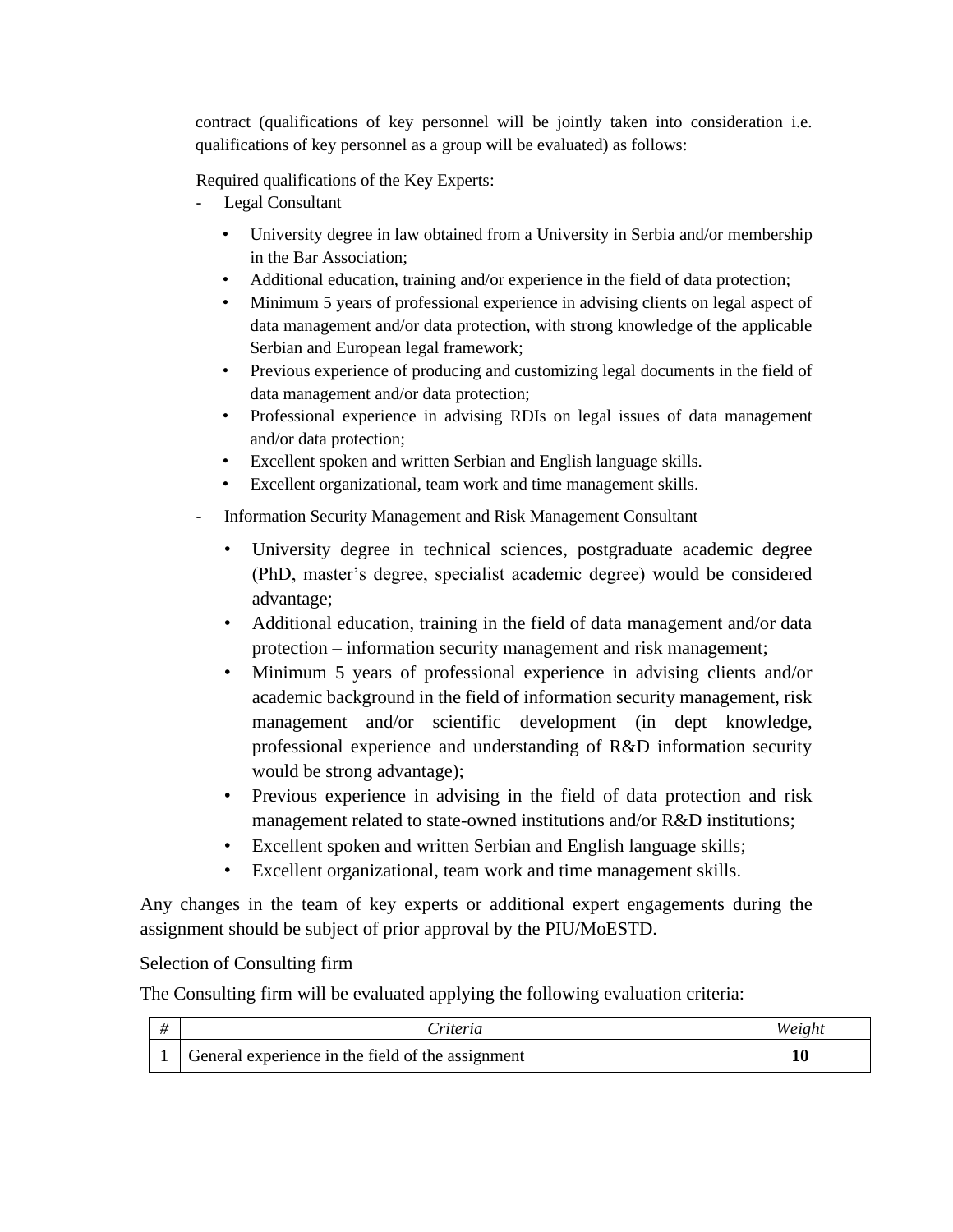contract (qualifications of key personnel will be jointly taken into consideration i.e. qualifications of key personnel as a group will be evaluated) as follows:

Required qualifications of the Key Experts:

- Legal Consultant
	- University degree in law obtained from a University in Serbia and/or membership in the Bar Association;
	- Additional education, training and/or experience in the field of data protection;
	- Minimum 5 years of professional experience in advising clients on legal aspect of data management and/or data protection, with strong knowledge of the applicable Serbian and European legal framework;
	- Previous experience of producing and customizing legal documents in the field of data management and/or data protection;
	- Professional experience in advising RDIs on legal issues of data management and/or data protection;
	- Excellent spoken and written Serbian and English language skills.
	- Excellent organizational, team work and time management skills.
- Information Security Management and Risk Management Consultant
	- University degree in technical sciences, postgraduate academic degree (PhD, master's degree, specialist academic degree) would be considered advantage;
	- Additional education, training in the field of data management and/or data protection – information security management and risk management;
	- Minimum 5 years of professional experience in advising clients and/or academic background in the field of information security management, risk management and/or scientific development (in dept knowledge, professional experience and understanding of R&D information security would be strong advantage);
	- Previous experience in advising in the field of data protection and risk management related to state-owned institutions and/or R&D institutions;
	- Excellent spoken and written Serbian and English language skills;
	- Excellent organizational, team work and time management skills.

Any changes in the team of key experts or additional expert engagements during the assignment should be subject of prior approval by the PIU/MoESTD.

# Selection of Consulting firm

The Consulting firm will be evaluated applying the following evaluation criteria:

|                                                   | `riteria | Weight |
|---------------------------------------------------|----------|--------|
| General experience in the field of the assignment |          |        |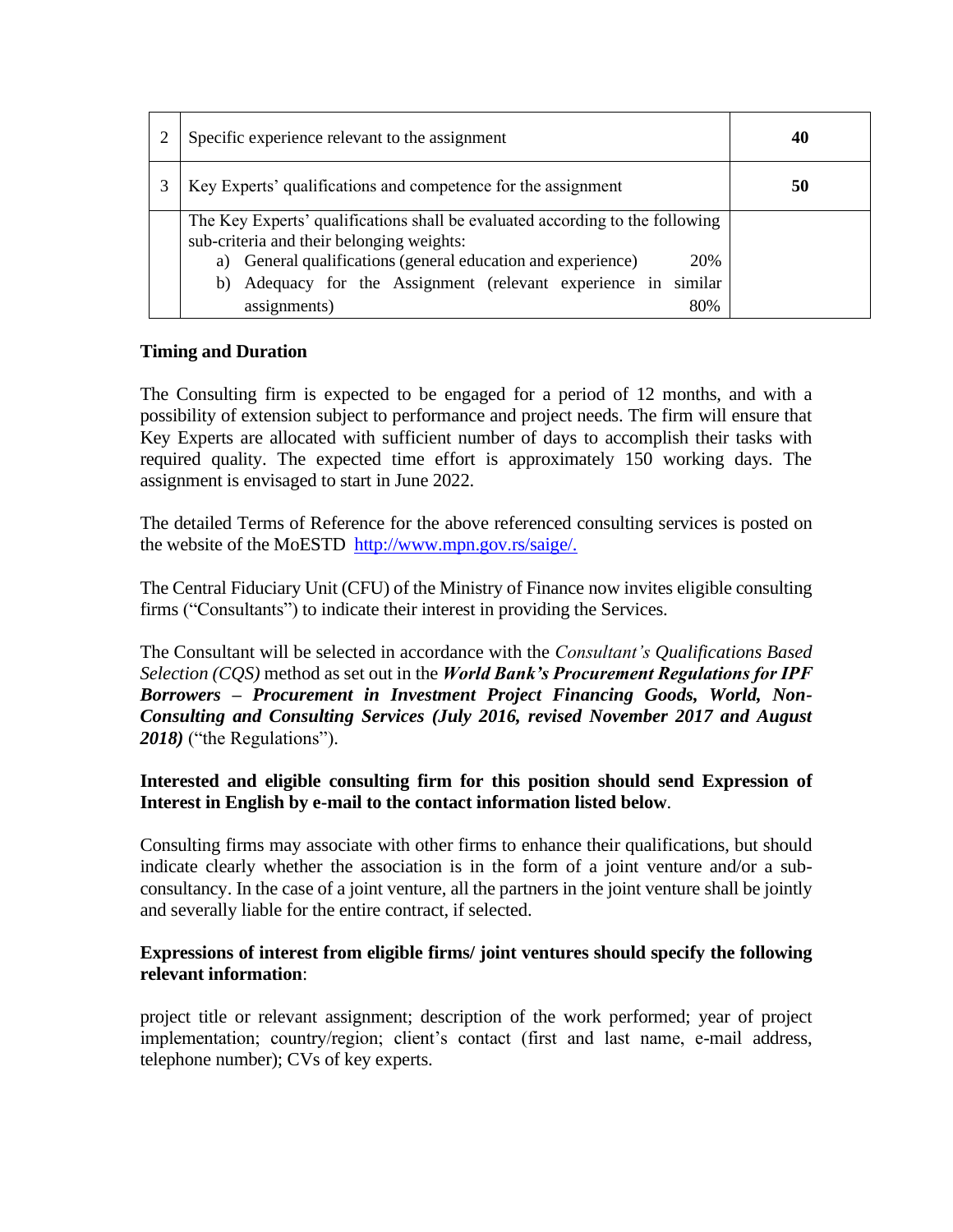| Specific experience relevant to the assignment                                                                                                                                                                                                                                                | 40 |
|-----------------------------------------------------------------------------------------------------------------------------------------------------------------------------------------------------------------------------------------------------------------------------------------------|----|
| Key Experts' qualifications and competence for the assignment                                                                                                                                                                                                                                 | 50 |
| The Key Experts' qualifications shall be evaluated according to the following<br>sub-criteria and their belonging weights:<br>a) General qualifications (general education and experience)<br>20%<br>similar<br>b) Adequacy for the Assignment (relevant experience in<br>assignments)<br>80% |    |

# **Timing and Duration**

The Consulting firm is expected to be engaged for a period of 12 months, and with a possibility of extension subject to performance and project needs. The firm will ensure that Key Experts are allocated with sufficient number of days to accomplish their tasks with required quality. The expected time effort is approximately 150 working days. The assignment is envisaged to start in June 2022.

The detailed Terms of Reference for the above referenced consulting services is posted on the website of the MoESTD [http://www.mpn.gov.rs/saige/.](http://www./)

The Central Fiduciary Unit (CFU) of the Ministry of Finance now invites eligible consulting firms ("Consultants") to indicate their interest in providing the Services.

The Consultant will be selected in accordance with the *Consultant's Qualifications Based Selection (CQS)* method as set out in the *World Bank's Procurement Regulations for IPF Borrowers – Procurement in Investment Project Financing Goods, World, Non-Consulting and Consulting Services (July 2016, revised November 2017 and August 2018)* ("the Regulations").

# **Interested and eligible consulting firm for this position should send Expression of Interest in English by e-mail to the contact information listed below**.

Consulting firms may associate with other firms to enhance their qualifications, but should indicate clearly whether the association is in the form of a joint venture and/or a subconsultancy. In the case of a joint venture, all the partners in the joint venture shall be jointly and severally liable for the entire contract, if selected.

# **Expressions of interest from eligible firms/ joint ventures should specify the following relevant information**:

project title or relevant assignment; description of the work performed; year of project implementation; country/region; client's contact (first and last name, e-mail address, telephone number); CVs of key experts.